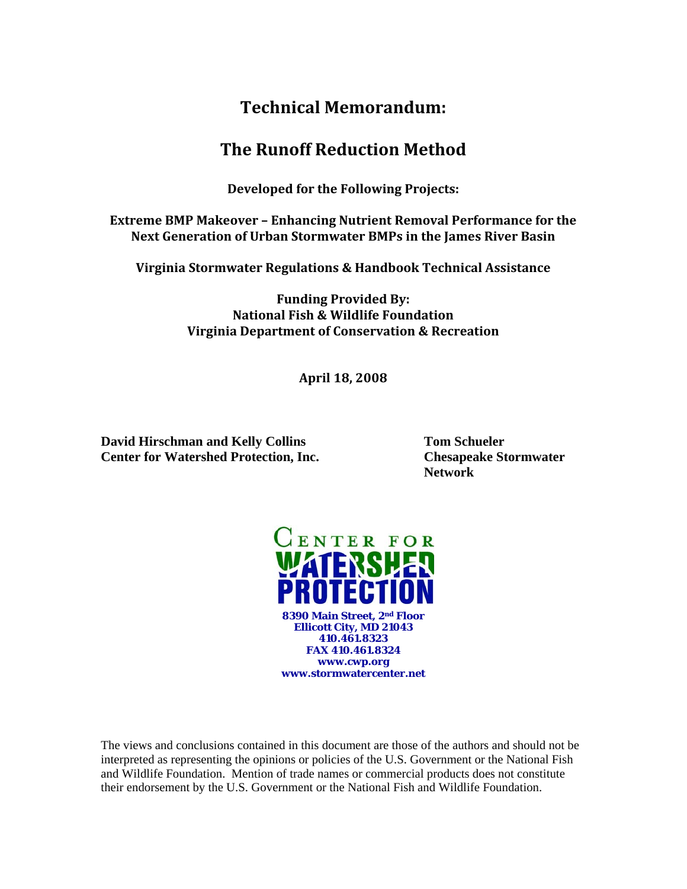# **Technical Memorandum:**

## **The Runoff Reduction Method**

**Developed for the Following Projects:** 

**Extreme BMP Makeover – Enhancing Nutrient Removal Performance for the Next Generation of Urban Stormwater BMPs in the James River Basin**

**Virginia Stormwater Regulations & Handbook Technical Assistance**

**Funding Provided By: National Fish & Wildlife Foundation Virginia Department of Conservation & Recreation**

**April 18, 2008**

**David Hirschman and Kelly Collins Tom Schueler Center for Watershed Protection, Inc. Chesapeake Stormwater** 

**Network** 



The views and conclusions contained in this document are those of the authors and should not be interpreted as representing the opinions or policies of the U.S. Government or the National Fish and Wildlife Foundation. Mention of trade names or commercial products does not constitute their endorsement by the U.S. Government or the National Fish and Wildlife Foundation.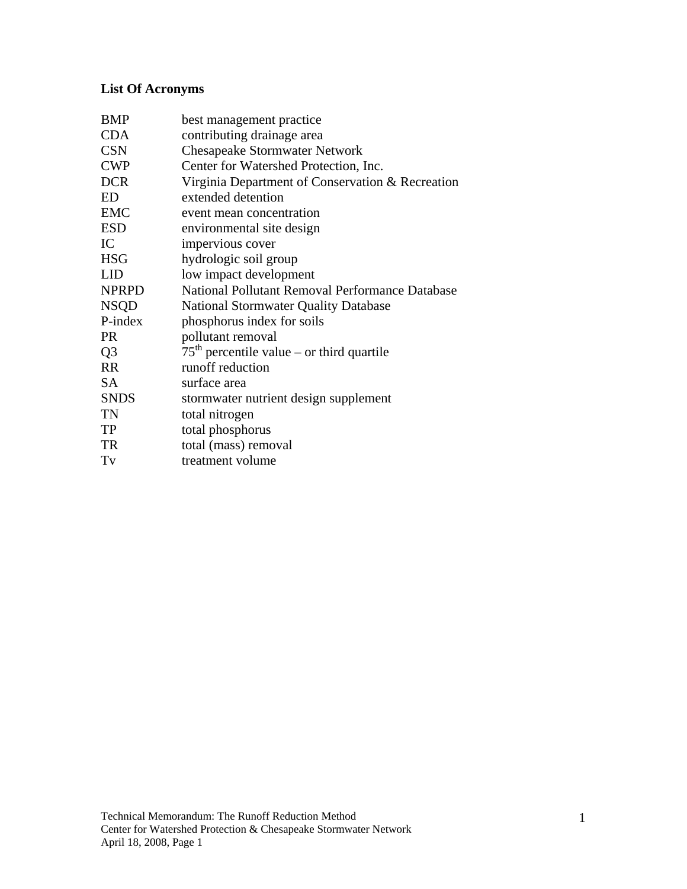# **List Of Acronyms**

| <b>BMP</b>     | best management practice                         |
|----------------|--------------------------------------------------|
| <b>CDA</b>     | contributing drainage area                       |
| <b>CSN</b>     | <b>Chesapeake Stormwater Network</b>             |
| <b>CWP</b>     | Center for Watershed Protection, Inc.            |
| <b>DCR</b>     | Virginia Department of Conservation & Recreation |
| ED             | extended detention                               |
| <b>EMC</b>     | event mean concentration                         |
| <b>ESD</b>     | environmental site design                        |
| IC             | impervious cover                                 |
| <b>HSG</b>     | hydrologic soil group                            |
| <b>LID</b>     | low impact development                           |
| <b>NPRPD</b>   | National Pollutant Removal Performance Database  |
| <b>NSQD</b>    | <b>National Stormwater Quality Database</b>      |
| P-index        | phosphorus index for soils                       |
| <b>PR</b>      | pollutant removal                                |
| Q <sub>3</sub> | $75th$ percentile value – or third quartile      |
| <b>RR</b>      | runoff reduction                                 |
| <b>SA</b>      | surface area                                     |
| <b>SNDS</b>    | stormwater nutrient design supplement            |
| TN             | total nitrogen                                   |
| <b>TP</b>      | total phosphorus                                 |
| TR             | total (mass) removal                             |
| Tv             | treatment volume                                 |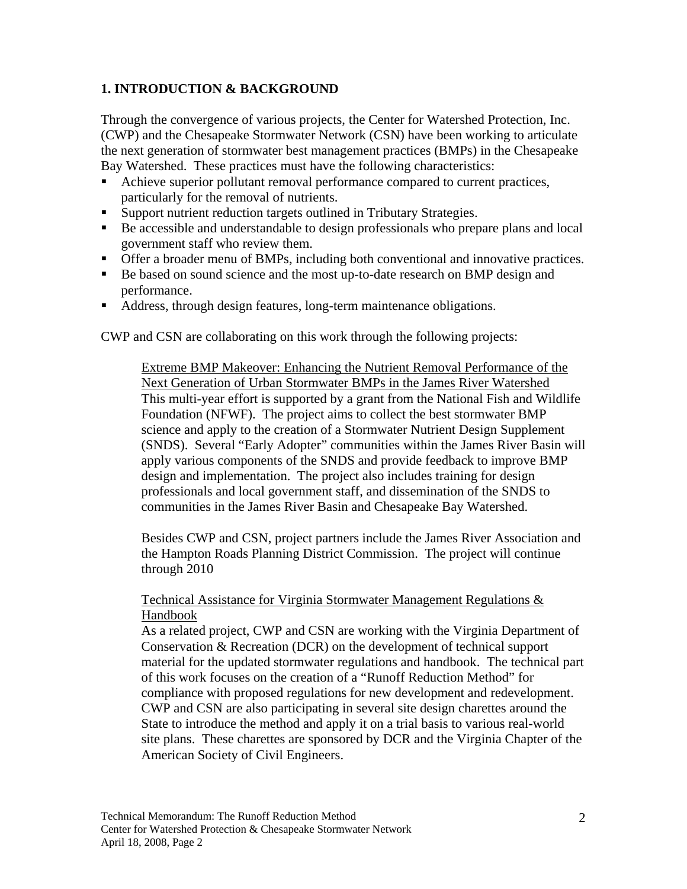### **1. INTRODUCTION & BACKGROUND**

Through the convergence of various projects, the Center for Watershed Protection, Inc. (CWP) and the Chesapeake Stormwater Network (CSN) have been working to articulate the next generation of stormwater best management practices (BMPs) in the Chesapeake Bay Watershed. These practices must have the following characteristics:

- Achieve superior pollutant removal performance compared to current practices, particularly for the removal of nutrients.
- Support nutrient reduction targets outlined in Tributary Strategies.
- Be accessible and understandable to design professionals who prepare plans and local government staff who review them.
- Offer a broader menu of BMPs, including both conventional and innovative practices.
- Be based on sound science and the most up-to-date research on BMP design and performance.
- Address, through design features, long-term maintenance obligations.

CWP and CSN are collaborating on this work through the following projects:

Extreme BMP Makeover: Enhancing the Nutrient Removal Performance of the Next Generation of Urban Stormwater BMPs in the James River Watershed This multi-year effort is supported by a grant from the National Fish and Wildlife Foundation (NFWF). The project aims to collect the best stormwater BMP science and apply to the creation of a Stormwater Nutrient Design Supplement (SNDS). Several "Early Adopter" communities within the James River Basin will apply various components of the SNDS and provide feedback to improve BMP design and implementation. The project also includes training for design professionals and local government staff, and dissemination of the SNDS to communities in the James River Basin and Chesapeake Bay Watershed.

Besides CWP and CSN, project partners include the James River Association and the Hampton Roads Planning District Commission. The project will continue through 2010

#### Technical Assistance for Virginia Stormwater Management Regulations & Handbook

As a related project, CWP and CSN are working with the Virginia Department of Conservation & Recreation (DCR) on the development of technical support material for the updated stormwater regulations and handbook. The technical part of this work focuses on the creation of a "Runoff Reduction Method" for compliance with proposed regulations for new development and redevelopment. CWP and CSN are also participating in several site design charettes around the State to introduce the method and apply it on a trial basis to various real-world site plans. These charettes are sponsored by DCR and the Virginia Chapter of the American Society of Civil Engineers.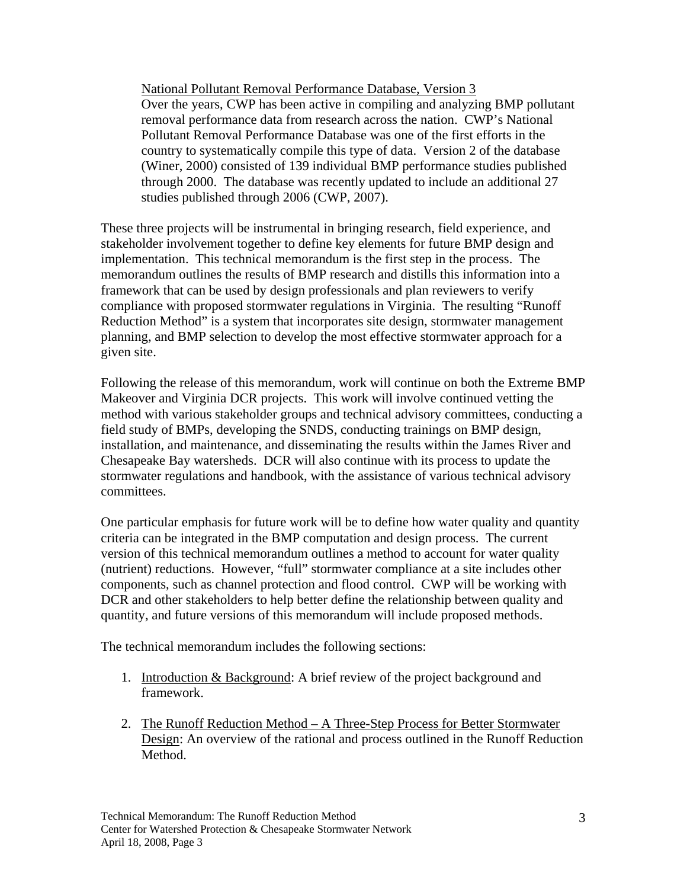National Pollutant Removal Performance Database, Version 3 Over the years, CWP has been active in compiling and analyzing BMP pollutant removal performance data from research across the nation. CWP's National Pollutant Removal Performance Database was one of the first efforts in the country to systematically compile this type of data. Version 2 of the database (Winer, 2000) consisted of 139 individual BMP performance studies published through 2000. The database was recently updated to include an additional 27 studies published through 2006 (CWP, 2007).

These three projects will be instrumental in bringing research, field experience, and stakeholder involvement together to define key elements for future BMP design and implementation. This technical memorandum is the first step in the process. The memorandum outlines the results of BMP research and distills this information into a framework that can be used by design professionals and plan reviewers to verify compliance with proposed stormwater regulations in Virginia. The resulting "Runoff Reduction Method" is a system that incorporates site design, stormwater management planning, and BMP selection to develop the most effective stormwater approach for a given site.

Following the release of this memorandum, work will continue on both the Extreme BMP Makeover and Virginia DCR projects. This work will involve continued vetting the method with various stakeholder groups and technical advisory committees, conducting a field study of BMPs, developing the SNDS, conducting trainings on BMP design, installation, and maintenance, and disseminating the results within the James River and Chesapeake Bay watersheds. DCR will also continue with its process to update the stormwater regulations and handbook, with the assistance of various technical advisory committees.

One particular emphasis for future work will be to define how water quality and quantity criteria can be integrated in the BMP computation and design process. The current version of this technical memorandum outlines a method to account for water quality (nutrient) reductions. However, "full" stormwater compliance at a site includes other components, such as channel protection and flood control. CWP will be working with DCR and other stakeholders to help better define the relationship between quality and quantity, and future versions of this memorandum will include proposed methods.

The technical memorandum includes the following sections:

- 1. Introduction & Background: A brief review of the project background and framework.
- 2. The Runoff Reduction Method A Three-Step Process for Better Stormwater Design: An overview of the rational and process outlined in the Runoff Reduction Method.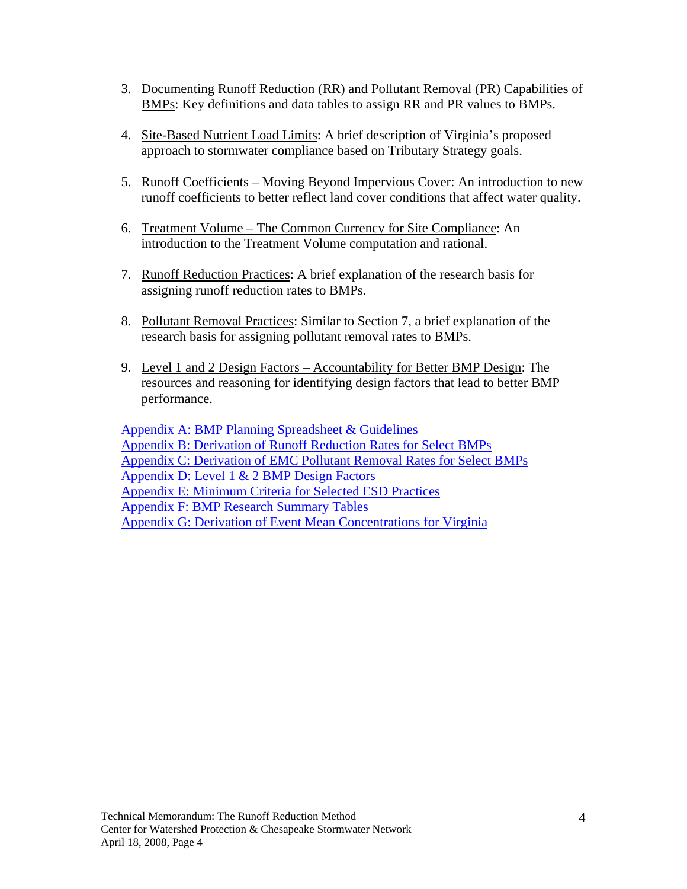- 3. Documenting Runoff Reduction (RR) and Pollutant Removal (PR) Capabilities of BMPs: Key definitions and data tables to assign RR and PR values to BMPs.
- 4. Site-Based Nutrient Load Limits: A brief description of Virginia's proposed approach to stormwater compliance based on Tributary Strategy goals.
- 5. Runoff Coefficients Moving Beyond Impervious Cover: An introduction to new runoff coefficients to better reflect land cover conditions that affect water quality.
- 6. Treatment Volume The Common Currency for Site Compliance: An introduction to the Treatment Volume computation and rational.
- 7. Runoff Reduction Practices: A brief explanation of the research basis for assigning runoff reduction rates to BMPs.
- 8. Pollutant Removal Practices: Similar to Section 7, a brief explanation of the research basis for assigning pollutant removal rates to BMPs.
- 9. Level 1 and 2 Design Factors Accountability for Better BMP Design: The resources and reasoning for identifying design factors that lead to better BMP performance.

Appendix A: BMP Planning Spreadsheet & Guidelines Appendix B: Derivation of Runoff Reduction Rates for Select BMPs [Appendix C: Derivation of EMC Pollutant Removal Rates for Select BMPs](#page-25-0) Appendix D: Level 1 & 2 BMP Design Factors Appendix E: Minimum Criteria for Selected ESD Practices Appendix F: BMP Research Summary Tables Appendix G: Derivation of Event Mean Concentrations for Virginia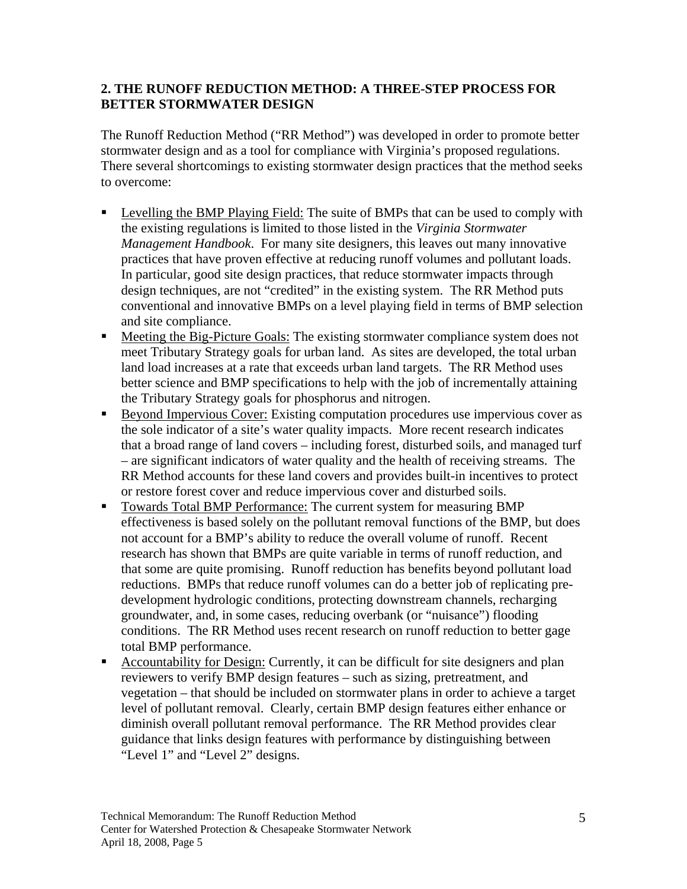#### **2. THE RUNOFF REDUCTION METHOD: A THREE-STEP PROCESS FOR BETTER STORMWATER DESIGN**

The Runoff Reduction Method ("RR Method") was developed in order to promote better stormwater design and as a tool for compliance with Virginia's proposed regulations. There several shortcomings to existing stormwater design practices that the method seeks to overcome:

- Levelling the BMP Playing Field: The suite of BMPs that can be used to comply with the existing regulations is limited to those listed in the *Virginia Stormwater Management Handbook*. For many site designers, this leaves out many innovative practices that have proven effective at reducing runoff volumes and pollutant loads. In particular, good site design practices, that reduce stormwater impacts through design techniques, are not "credited" in the existing system. The RR Method puts conventional and innovative BMPs on a level playing field in terms of BMP selection and site compliance.
- Meeting the Big-Picture Goals: The existing stormwater compliance system does not meet Tributary Strategy goals for urban land. As sites are developed, the total urban land load increases at a rate that exceeds urban land targets. The RR Method uses better science and BMP specifications to help with the job of incrementally attaining the Tributary Strategy goals for phosphorus and nitrogen.
- Beyond Impervious Cover: Existing computation procedures use impervious cover as the sole indicator of a site's water quality impacts. More recent research indicates that a broad range of land covers – including forest, disturbed soils, and managed turf – are significant indicators of water quality and the health of receiving streams. The RR Method accounts for these land covers and provides built-in incentives to protect or restore forest cover and reduce impervious cover and disturbed soils.
- Towards Total BMP Performance: The current system for measuring BMP effectiveness is based solely on the pollutant removal functions of the BMP, but does not account for a BMP's ability to reduce the overall volume of runoff. Recent research has shown that BMPs are quite variable in terms of runoff reduction, and that some are quite promising. Runoff reduction has benefits beyond pollutant load reductions. BMPs that reduce runoff volumes can do a better job of replicating predevelopment hydrologic conditions, protecting downstream channels, recharging groundwater, and, in some cases, reducing overbank (or "nuisance") flooding conditions. The RR Method uses recent research on runoff reduction to better gage total BMP performance.
- Accountability for Design: Currently, it can be difficult for site designers and plan reviewers to verify BMP design features – such as sizing, pretreatment, and vegetation – that should be included on stormwater plans in order to achieve a target level of pollutant removal. Clearly, certain BMP design features either enhance or diminish overall pollutant removal performance. The RR Method provides clear guidance that links design features with performance by distinguishing between "Level 1" and "Level 2" designs.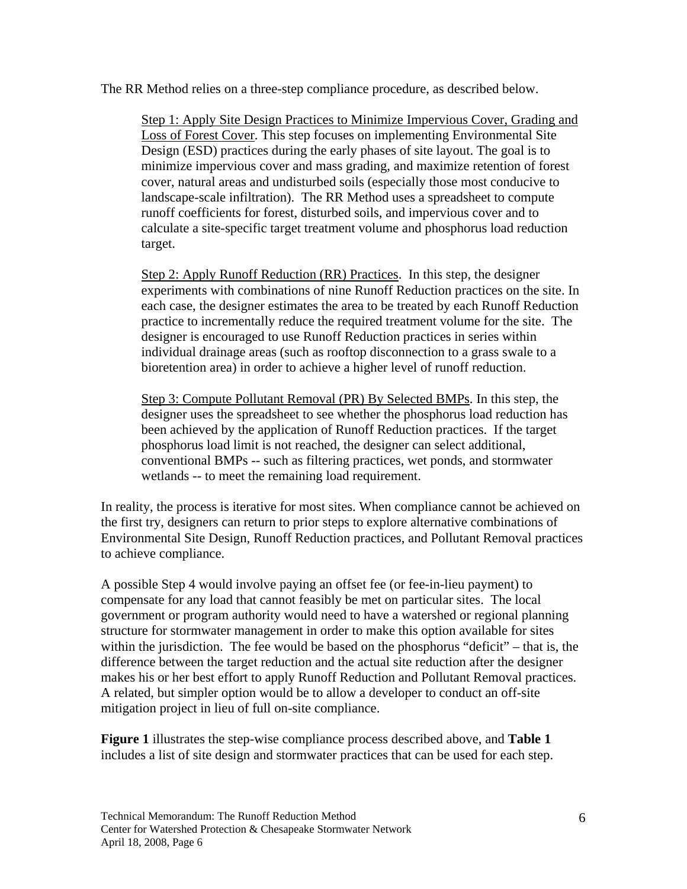The RR Method relies on a three-step compliance procedure, as described below.

Step 1: Apply Site Design Practices to Minimize Impervious Cover, Grading and Loss of Forest Cover. This step focuses on implementing Environmental Site Design (ESD) practices during the early phases of site layout. The goal is to minimize impervious cover and mass grading, and maximize retention of forest cover, natural areas and undisturbed soils (especially those most conducive to landscape-scale infiltration). The RR Method uses a spreadsheet to compute runoff coefficients for forest, disturbed soils, and impervious cover and to calculate a site-specific target treatment volume and phosphorus load reduction target.

Step 2: Apply Runoff Reduction (RR) Practices. In this step, the designer experiments with combinations of nine Runoff Reduction practices on the site. In each case, the designer estimates the area to be treated by each Runoff Reduction practice to incrementally reduce the required treatment volume for the site. The designer is encouraged to use Runoff Reduction practices in series within individual drainage areas (such as rooftop disconnection to a grass swale to a bioretention area) in order to achieve a higher level of runoff reduction.

Step 3: Compute Pollutant Removal (PR) By Selected BMPs. In this step, the designer uses the spreadsheet to see whether the phosphorus load reduction has been achieved by the application of Runoff Reduction practices. If the target phosphorus load limit is not reached, the designer can select additional, conventional BMPs -- such as filtering practices, wet ponds, and stormwater wetlands -- to meet the remaining load requirement.

In reality, the process is iterative for most sites. When compliance cannot be achieved on the first try, designers can return to prior steps to explore alternative combinations of Environmental Site Design, Runoff Reduction practices, and Pollutant Removal practices to achieve compliance.

A possible Step 4 would involve paying an offset fee (or fee-in-lieu payment) to compensate for any load that cannot feasibly be met on particular sites. The local government or program authority would need to have a watershed or regional planning structure for stormwater management in order to make this option available for sites within the jurisdiction. The fee would be based on the phosphorus "deficit" – that is, the difference between the target reduction and the actual site reduction after the designer makes his or her best effort to apply Runoff Reduction and Pollutant Removal practices. A related, but simpler option would be to allow a developer to conduct an off-site mitigation project in lieu of full on-site compliance.

**Figure 1** illustrates the step-wise compliance process described above, and **Table 1**  includes a list of site design and stormwater practices that can be used for each step.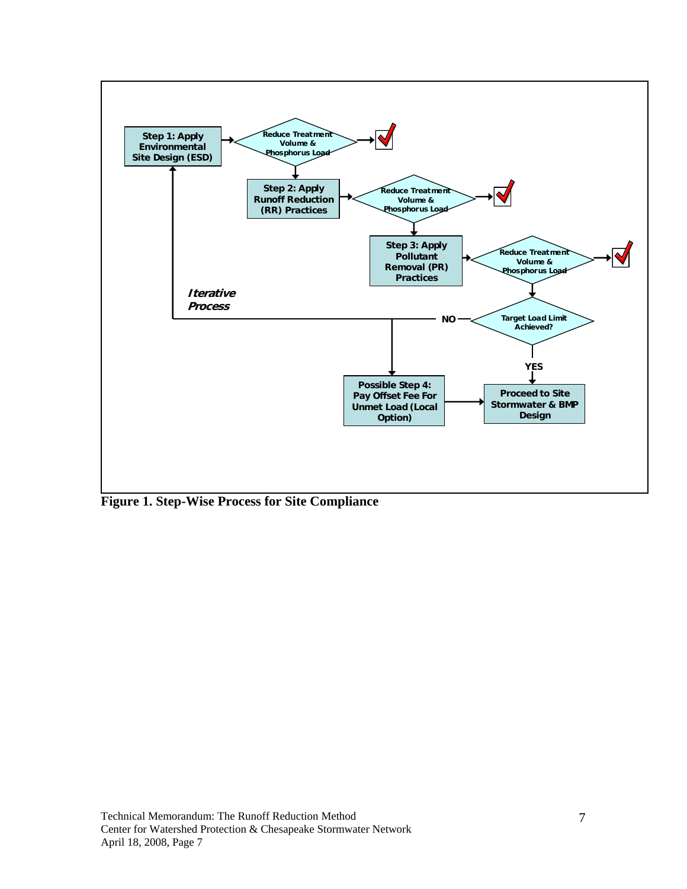

**Figure 1. Step-Wise Process for Site Compliance**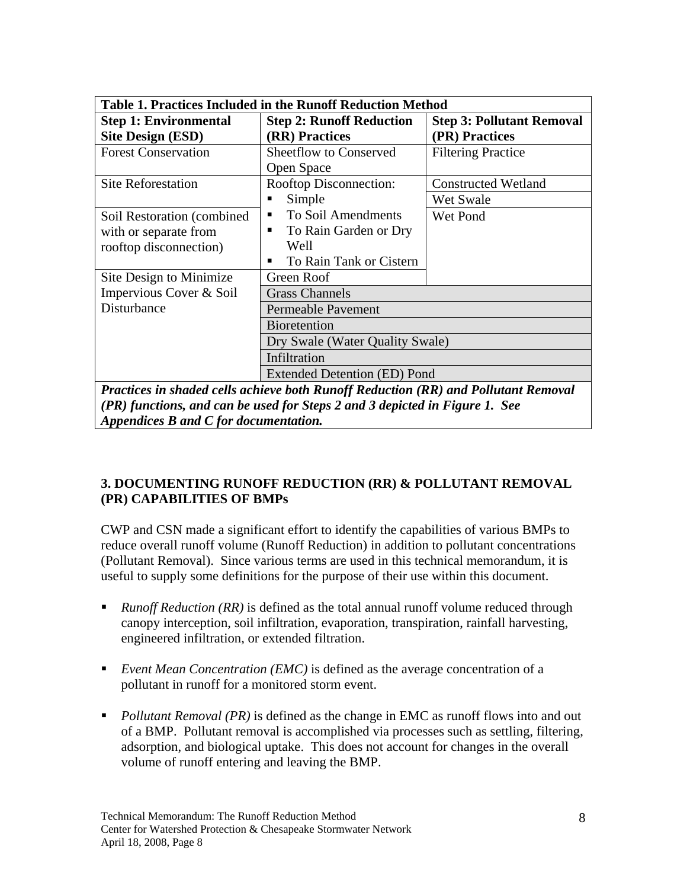| <b>Table 1. Practices Included in the Runoff Reduction Method</b> |                                                                                    |                                  |  |
|-------------------------------------------------------------------|------------------------------------------------------------------------------------|----------------------------------|--|
| <b>Step 1: Environmental</b>                                      | <b>Step 2: Runoff Reduction</b>                                                    | <b>Step 3: Pollutant Removal</b> |  |
| <b>Site Design (ESD)</b>                                          | (RR) Practices                                                                     | (PR) Practices                   |  |
| <b>Forest Conservation</b>                                        | <b>Sheetflow to Conserved</b>                                                      | <b>Filtering Practice</b>        |  |
|                                                                   | Open Space                                                                         |                                  |  |
| <b>Site Reforestation</b>                                         | Rooftop Disconnection:                                                             | <b>Constructed Wetland</b>       |  |
|                                                                   | Simple                                                                             | Wet Swale                        |  |
| Soil Restoration (combined)                                       | To Soil Amendments<br>٠                                                            | Wet Pond                         |  |
| with or separate from                                             | To Rain Garden or Dry                                                              |                                  |  |
| rooftop disconnection)                                            | Well                                                                               |                                  |  |
|                                                                   | To Rain Tank or Cistern                                                            |                                  |  |
| Site Design to Minimize                                           | Green Roof                                                                         |                                  |  |
| Impervious Cover & Soil                                           | <b>Grass Channels</b>                                                              |                                  |  |
| Disturbance                                                       | <b>Permeable Pavement</b>                                                          |                                  |  |
|                                                                   | <b>Bioretention</b>                                                                |                                  |  |
|                                                                   | Dry Swale (Water Quality Swale)                                                    |                                  |  |
|                                                                   | Infiltration                                                                       |                                  |  |
|                                                                   | Extended Detention (ED) Pond                                                       |                                  |  |
|                                                                   | Practices in shaded cells achieve both Runoff Reduction (RR) and Pollutant Removal |                                  |  |

*(PR) functions, and can be used for Steps 2 and 3 depicted in Figure 1. See Appendices B and C for documentation.* 

### **3. DOCUMENTING RUNOFF REDUCTION (RR) & POLLUTANT REMOVAL (PR) CAPABILITIES OF BMPs**

CWP and CSN made a significant effort to identify the capabilities of various BMPs to reduce overall runoff volume (Runoff Reduction) in addition to pollutant concentrations (Pollutant Removal). Since various terms are used in this technical memorandum, it is useful to supply some definitions for the purpose of their use within this document.

- **Runoff Reduction (RR)** is defined as the total annual runoff volume reduced through canopy interception, soil infiltration, evaporation, transpiration, rainfall harvesting, engineered infiltration, or extended filtration.
- *Event Mean Concentration (EMC)* is defined as the average concentration of a pollutant in runoff for a monitored storm event.
- **Pollutant Removal (PR)** is defined as the change in EMC as runoff flows into and out of a BMP. Pollutant removal is accomplished via processes such as settling, filtering, adsorption, and biological uptake. This does not account for changes in the overall volume of runoff entering and leaving the BMP.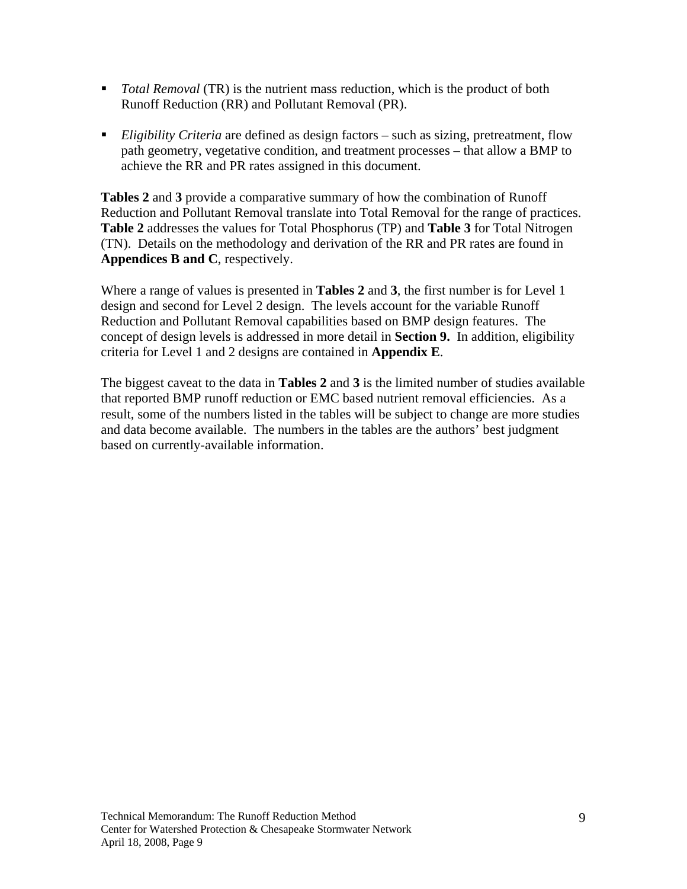- *Total Removal* (TR) is the nutrient mass reduction, which is the product of both Runoff Reduction (RR) and Pollutant Removal (PR).
- *Eligibility Criteria* are defined as design factors such as sizing, pretreatment, flow path geometry, vegetative condition, and treatment processes – that allow a BMP to achieve the RR and PR rates assigned in this document.

**Tables 2** and **3** provide a comparative summary of how the combination of Runoff Reduction and Pollutant Removal translate into Total Removal for the range of practices. **Table 2** addresses the values for Total Phosphorus (TP) and **Table 3** for Total Nitrogen (TN). Details on the methodology and derivation of the RR and PR rates are found in **Appendices B and C**, respectively.

Where a range of values is presented in **Tables 2** and **3**, the first number is for Level 1 design and second for Level 2 design. The levels account for the variable Runoff Reduction and Pollutant Removal capabilities based on BMP design features. The concept of design levels is addressed in more detail in **Section 9.** In addition, eligibility criteria for Level 1 and 2 designs are contained in **Appendix E**.

The biggest caveat to the data in **Tables 2** and **3** is the limited number of studies available that reported BMP runoff reduction or EMC based nutrient removal efficiencies. As a result, some of the numbers listed in the tables will be subject to change are more studies and data become available. The numbers in the tables are the authors' best judgment based on currently-available information.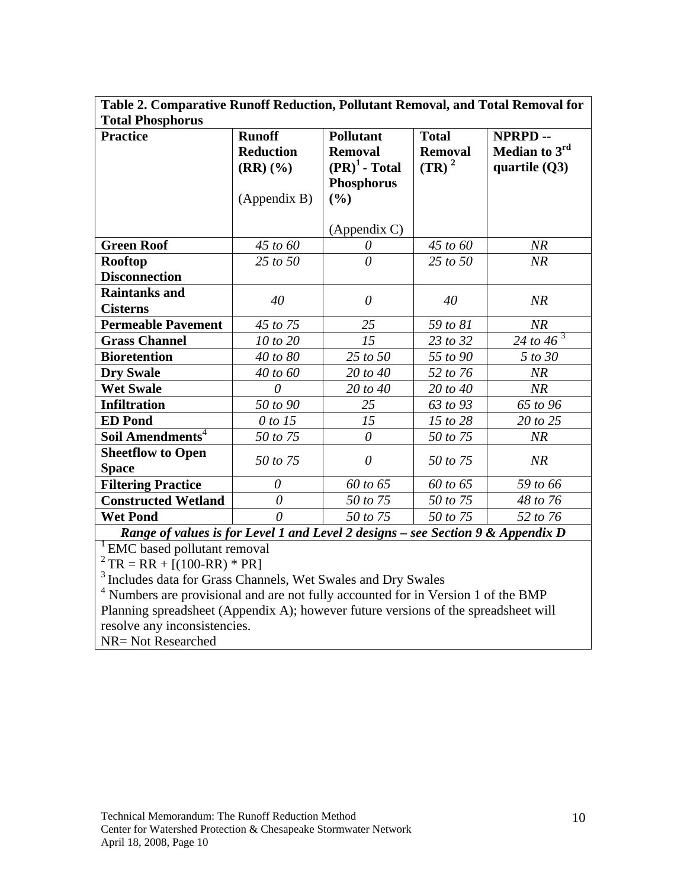| Table 2. Comparative Runoff Reduction, Pollutant Removal, and Total Removal for |                  |                    |                |                        |
|---------------------------------------------------------------------------------|------------------|--------------------|----------------|------------------------|
| <b>Total Phosphorus</b>                                                         |                  |                    |                |                        |
| <b>Practice</b>                                                                 | <b>Runoff</b>    | <b>Pollutant</b>   | <b>Total</b>   | NPRPD--                |
|                                                                                 | <b>Reduction</b> | <b>Removal</b>     | <b>Removal</b> | Median to $3rd$        |
|                                                                                 | $(RR)(\%)$       | $(PR)^1$ - Total   | $(TR)^2$       | quartile $(Q3)$        |
|                                                                                 |                  | <b>Phosphorus</b>  |                |                        |
|                                                                                 | (Appendix B)     | (%)                |                |                        |
|                                                                                 |                  |                    |                |                        |
|                                                                                 |                  | $(A$ ppendix $C$ ) |                |                        |
| <b>Green Roof</b>                                                               | 45 to 60         | 0                  | 45 to 60       | NR                     |
| <b>Rooftop</b>                                                                  | 25 to 50         | $\theta$           | 25 to 50       | NR                     |
| <b>Disconnection</b>                                                            |                  |                    |                |                        |
| <b>Raintanks and</b>                                                            | 40               | $\theta$           | 40             | NR                     |
| <b>Cisterns</b>                                                                 |                  |                    |                |                        |
| <b>Permeable Pavement</b>                                                       | 45 to 75         | 25                 | 59 to 81       | NR                     |
| <b>Grass Channel</b>                                                            | 10 to 20         | 15                 | 23 to 32       | 24 to $\frac{1}{46^3}$ |
| <b>Bioretention</b>                                                             | 40 to 80         | 25 to 50           | 55 to 90       | 5 to 30                |
| <b>Dry Swale</b>                                                                | 40 to 60         | 20 to 40           | 52 to 76       | NR                     |
| <b>Wet Swale</b>                                                                | $\theta$         | 20 to 40           | 20 to 40       | NR                     |
| <b>Infiltration</b>                                                             | 50 to 90         | 25                 | 63 to 93       | 65 to 96               |
| <b>ED</b> Pond                                                                  | 0 to 15          | 15                 | 15 to 28       | 20 to 25               |
| Soil Amendments <sup>4</sup>                                                    | 50 to 75         | $\theta$           | 50 to 75       | NR                     |
| <b>Sheetflow to Open</b>                                                        | 50 to 75         | $\theta$           | 50 to 75       | NR                     |
| <b>Space</b>                                                                    |                  |                    |                |                        |
| <b>Filtering Practice</b>                                                       | $\theta$         | 60 to 65           | 60 to 65       | 59 to 66               |
| <b>Constructed Wetland</b>                                                      | $\theta$         | 50 to 75           | 50 to 75       | 48 to 76               |
| <b>Wet Pond</b>                                                                 | $\theta$         | 50 to 75           | 50 to 75       | 52 to 76               |
| Range of values is for Level 1 and Level 2 designs - see Section 9 & Appendix D |                  |                    |                |                        |
| EMC based pollutant removal                                                     |                  |                    |                |                        |

 $^{2}$  TR = RR + [(100-RR) \* PR]

 $3$  Includes data for Grass Channels, Wet Swales and Dry Swales<br>  $4$  Numbers are provisional and are not fully accounted for in Version 1 of the BMP Planning spreadsheet (Appendix A); however future versions of the spreadsheet will resolve any inconsistencies.

NR= Not Researched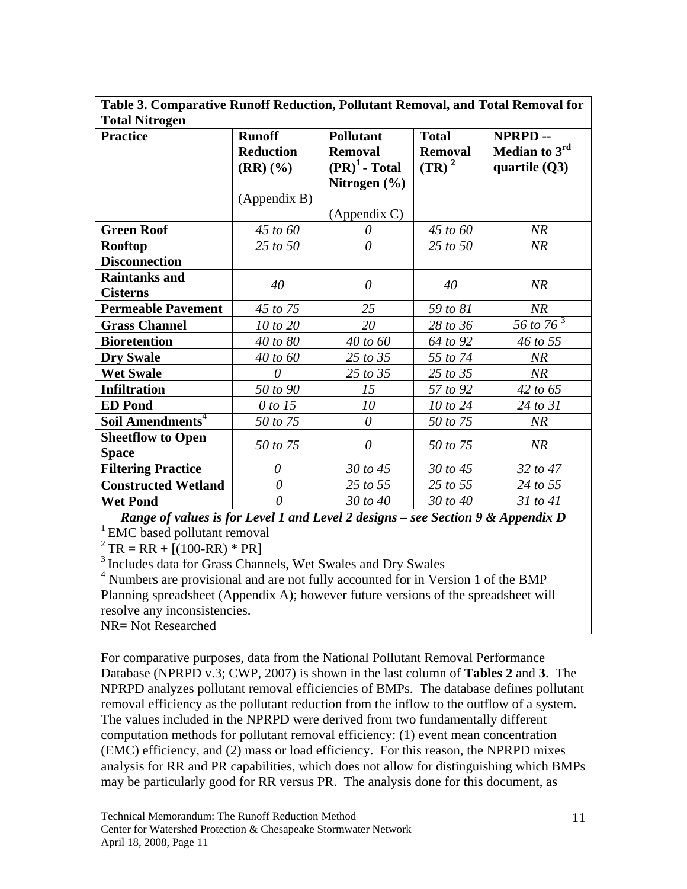| Table 3. Comparative Runoff Reduction, Pollutant Removal, and Total Removal for |                  |                    |                |                 |
|---------------------------------------------------------------------------------|------------------|--------------------|----------------|-----------------|
| <b>Total Nitrogen</b>                                                           |                  |                    |                |                 |
| <b>Practice</b>                                                                 | <b>Runoff</b>    | <b>Pollutant</b>   | <b>Total</b>   | <b>NPRPD--</b>  |
|                                                                                 | <b>Reduction</b> | <b>Removal</b>     | <b>Removal</b> | Median to $3rd$ |
|                                                                                 | $(RR)(\%)$       | $(PR)^1$ - Total   | $(TR)^2$       | quartile $(Q3)$ |
|                                                                                 |                  | Nitrogen $(\% )$   |                |                 |
|                                                                                 | (Appendix B)     |                    |                |                 |
|                                                                                 |                  | $(A$ ppendix $C$ ) |                |                 |
| <b>Green Roof</b>                                                               | 45 to 60         | 0                  | 45 to 60       | NR              |
| <b>Rooftop</b>                                                                  | 25 to 50         | $\theta$           | $25$ to $50$   | NR              |
| <b>Disconnection</b>                                                            |                  |                    |                |                 |
| <b>Raintanks and</b>                                                            | 40               | $\theta$           | 40             | NR              |
| <b>Cisterns</b>                                                                 |                  |                    |                |                 |
| <b>Permeable Pavement</b>                                                       | 45 to 75         | 25                 | 59 to 81       | NR              |
| <b>Grass Channel</b>                                                            | 10 to 20         | 20                 | 28 to 36       | 56 to $76^3$    |
| <b>Bioretention</b>                                                             | 40 to 80         | 40 to 60           | 64 to 92       | 46 to 55        |
| <b>Dry Swale</b>                                                                | 40 to 60         | 25 to 35           | 55 to 74       | NR              |
| <b>Wet Swale</b>                                                                | $\theta$         | 25 to 35           | 25 to 35       | NR              |
| <b>Infiltration</b>                                                             | 50 to 90         | 15                 | 57 to 92       | 42 to 65        |
| <b>ED</b> Pond                                                                  | 0 to 15          | 10                 | 10 to 24       | 24 to 31        |
| Soil Amendments <sup>4</sup>                                                    | 50 to 75         | $\theta$           | 50 to 75       | NR              |
| <b>Sheetflow to Open</b>                                                        | 50 to 75         | $\theta$           | 50 to 75       | NR              |
| <b>Space</b>                                                                    |                  |                    |                |                 |
| <b>Filtering Practice</b>                                                       | $\theta$         | 30 to 45           | 30 to 45       | 32 to 47        |
| <b>Constructed Wetland</b>                                                      | $\theta$         | 25 to 55           | 25 to 55       | 24 to 55        |
| <b>Wet Pond</b>                                                                 | $\theta$         | 30 to 40           | 30 to 40       | $31$ to $41$    |
| Range of values is for Level 1 and Level 2 designs – see Section 9 & Appendix D |                  |                    |                |                 |

<sup>1</sup> EMC based pollutant removal

 $2^2$ TR = RR + [(100-RR) \* PR]

<sup>3</sup> Includes data for Grass Channels, Wet Swales and Dry Swales

<sup>4</sup> Numbers are provisional and are not fully accounted for in Version 1 of the BMP Planning spreadsheet (Appendix A); however future versions of the spreadsheet will resolve any inconsistencies.

NR= Not Researched

For comparative purposes, data from the National Pollutant Removal Performance Database (NPRPD v.3; CWP, 2007) is shown in the last column of **Tables 2** and **3**. The NPRPD analyzes pollutant removal efficiencies of BMPs. The database defines pollutant removal efficiency as the pollutant reduction from the inflow to the outflow of a system. The values included in the NPRPD were derived from two fundamentally different computation methods for pollutant removal efficiency: (1) event mean concentration (EMC) efficiency, and (2) mass or load efficiency. For this reason, the NPRPD mixes analysis for RR and PR capabilities, which does not allow for distinguishing which BMPs may be particularly good for RR versus PR. The analysis done for this document, as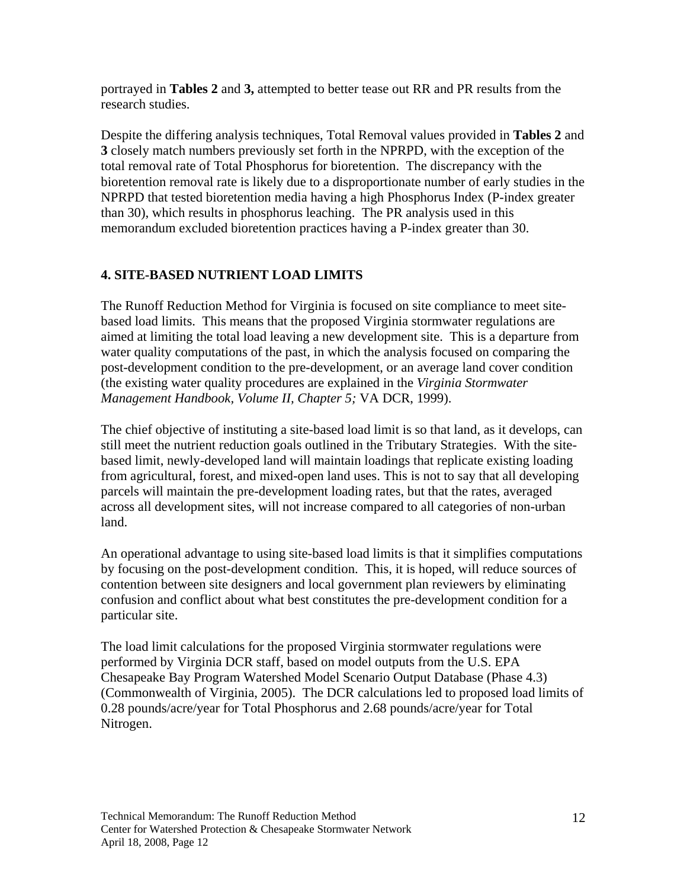portrayed in **Tables 2** and **3,** attempted to better tease out RR and PR results from the research studies.

Despite the differing analysis techniques, Total Removal values provided in **Tables 2** and **3** closely match numbers previously set forth in the NPRPD, with the exception of the total removal rate of Total Phosphorus for bioretention. The discrepancy with the bioretention removal rate is likely due to a disproportionate number of early studies in the NPRPD that tested bioretention media having a high Phosphorus Index (P-index greater than 30), which results in phosphorus leaching. The PR analysis used in this memorandum excluded bioretention practices having a P-index greater than 30.

### **4. SITE-BASED NUTRIENT LOAD LIMITS**

The Runoff Reduction Method for Virginia is focused on site compliance to meet sitebased load limits. This means that the proposed Virginia stormwater regulations are aimed at limiting the total load leaving a new development site. This is a departure from water quality computations of the past, in which the analysis focused on comparing the post-development condition to the pre-development, or an average land cover condition (the existing water quality procedures are explained in the *Virginia Stormwater Management Handbook, Volume II, Chapter 5;* VA DCR, 1999).

The chief objective of instituting a site-based load limit is so that land, as it develops, can still meet the nutrient reduction goals outlined in the Tributary Strategies. With the sitebased limit, newly-developed land will maintain loadings that replicate existing loading from agricultural, forest, and mixed-open land uses. This is not to say that all developing parcels will maintain the pre-development loading rates, but that the rates, averaged across all development sites, will not increase compared to all categories of non-urban land.

An operational advantage to using site-based load limits is that it simplifies computations by focusing on the post-development condition. This, it is hoped, will reduce sources of contention between site designers and local government plan reviewers by eliminating confusion and conflict about what best constitutes the pre-development condition for a particular site.

The load limit calculations for the proposed Virginia stormwater regulations were performed by Virginia DCR staff, based on model outputs from the U.S. EPA Chesapeake Bay Program Watershed Model Scenario Output Database (Phase 4.3) (Commonwealth of Virginia, 2005). The DCR calculations led to proposed load limits of 0.28 pounds/acre/year for Total Phosphorus and 2.68 pounds/acre/year for Total Nitrogen.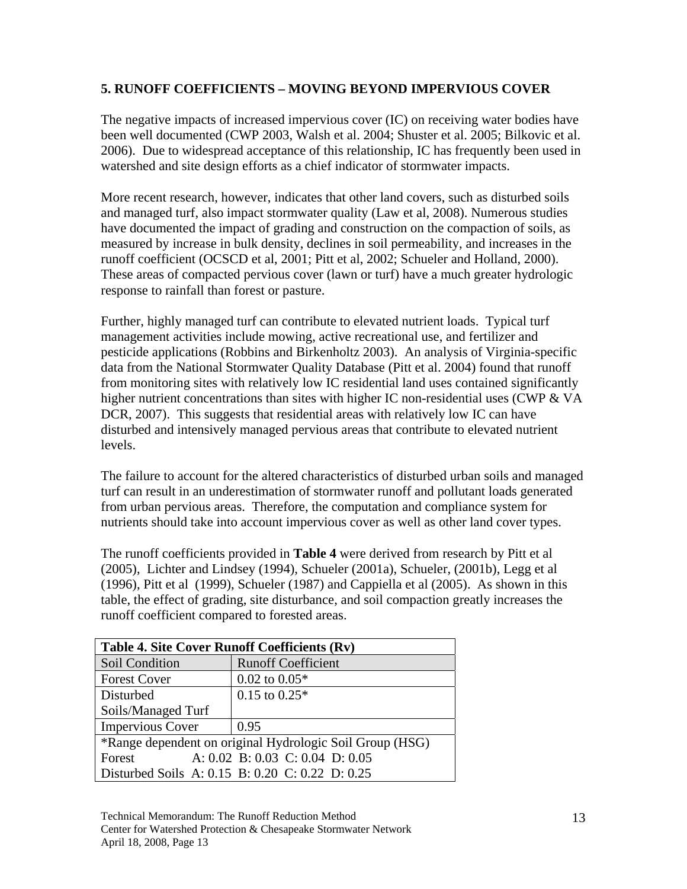### **5. RUNOFF COEFFICIENTS – MOVING BEYOND IMPERVIOUS COVER**

The negative impacts of increased impervious cover (IC) on receiving water bodies have been well documented (CWP 2003, Walsh et al. 2004; Shuster et al. 2005; Bilkovic et al. 2006). Due to widespread acceptance of this relationship, IC has frequently been used in watershed and site design efforts as a chief indicator of stormwater impacts.

More recent research, however, indicates that other land covers, such as disturbed soils and managed turf, also impact stormwater quality (Law et al, 2008). Numerous studies have documented the impact of grading and construction on the compaction of soils, as measured by increase in bulk density, declines in soil permeability, and increases in the runoff coefficient (OCSCD et al, 2001; Pitt et al, 2002; Schueler and Holland, 2000). These areas of compacted pervious cover (lawn or turf) have a much greater hydrologic response to rainfall than forest or pasture.

Further, highly managed turf can contribute to elevated nutrient loads. Typical turf management activities include mowing, active recreational use, and fertilizer and pesticide applications (Robbins and Birkenholtz 2003). An analysis of Virginia-specific data from the National Stormwater Quality Database (Pitt et al. 2004) found that runoff from monitoring sites with relatively low IC residential land uses contained significantly higher nutrient concentrations than sites with higher IC non-residential uses (CWP & VA DCR, 2007). This suggests that residential areas with relatively low IC can have disturbed and intensively managed pervious areas that contribute to elevated nutrient levels.

The failure to account for the altered characteristics of disturbed urban soils and managed turf can result in an underestimation of stormwater runoff and pollutant loads generated from urban pervious areas. Therefore, the computation and compliance system for nutrients should take into account impervious cover as well as other land cover types.

The runoff coefficients provided in **Table 4** were derived from research by Pitt et al (2005), Lichter and Lindsey (1994), Schueler (2001a), Schueler, (2001b), Legg et al (1996), Pitt et al (1999), Schueler (1987) and Cappiella et al (2005). As shown in this table, the effect of grading, site disturbance, and soil compaction greatly increases the runoff coefficient compared to forested areas.

| <b>Table 4. Site Cover Runoff Coefficients (Rv)</b>      |                                                 |  |
|----------------------------------------------------------|-------------------------------------------------|--|
| Soil Condition                                           | <b>Runoff Coefficient</b>                       |  |
| <b>Forest Cover</b>                                      | $0.02$ to $0.05*$                               |  |
| Disturbed                                                | $0.15$ to $0.25*$                               |  |
| Soils/Managed Turf                                       |                                                 |  |
| <b>Impervious Cover</b>                                  | 0.95                                            |  |
| *Range dependent on original Hydrologic Soil Group (HSG) |                                                 |  |
| Forest                                                   | A: 0.02 B: 0.03 C: 0.04 D: 0.05                 |  |
|                                                          | Disturbed Soils A: 0.15 B: 0.20 C: 0.22 D: 0.25 |  |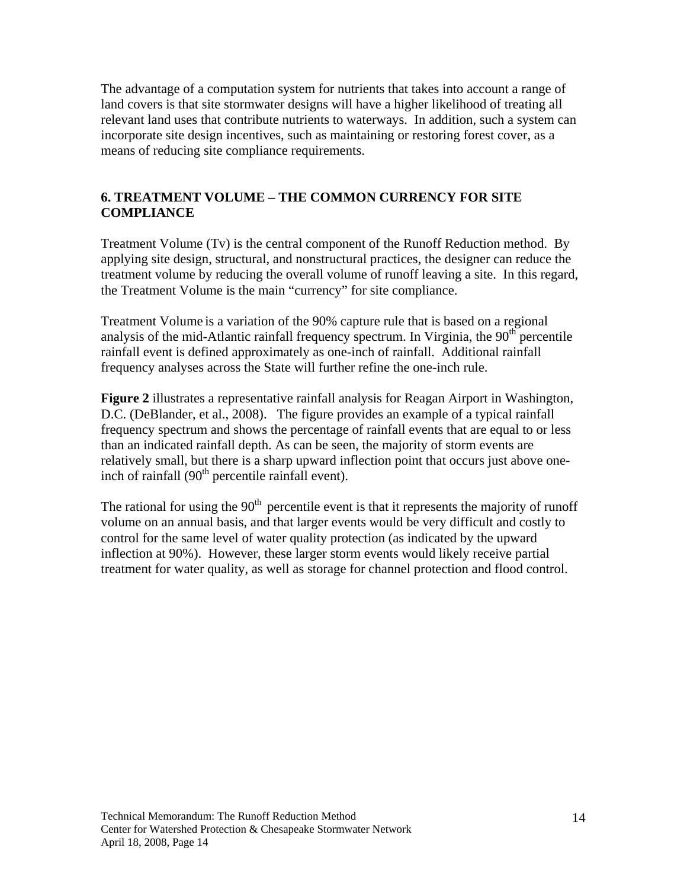The advantage of a computation system for nutrients that takes into account a range of land covers is that site stormwater designs will have a higher likelihood of treating all relevant land uses that contribute nutrients to waterways. In addition, such a system can incorporate site design incentives, such as maintaining or restoring forest cover, as a means of reducing site compliance requirements.

#### **6. TREATMENT VOLUME – THE COMMON CURRENCY FOR SITE COMPLIANCE**

Treatment Volume (Tv) is the central component of the Runoff Reduction method. By applying site design, structural, and nonstructural practices, the designer can reduce the treatment volume by reducing the overall volume of runoff leaving a site. In this regard, the Treatment Volume is the main "currency" for site compliance.

Treatment Volume is a variation of the 90% capture rule that is based on a regional analysis of the mid-Atlantic rainfall frequency spectrum. In Virginia, the  $90<sup>th</sup>$  percentile rainfall event is defined approximately as one-inch of rainfall. Additional rainfall frequency analyses across the State will further refine the one-inch rule.

**Figure 2** illustrates a representative rainfall analysis for Reagan Airport in Washington, D.C. (DeBlander, et al., 2008). The figure provides an example of a typical rainfall frequency spectrum and shows the percentage of rainfall events that are equal to or less than an indicated rainfall depth. As can be seen, the majority of storm events are relatively small, but there is a sharp upward inflection point that occurs just above oneinch of rainfall  $(90<sup>th</sup>$  percentile rainfall event).

The rational for using the  $90<sup>th</sup>$  percentile event is that it represents the majority of runoff volume on an annual basis, and that larger events would be very difficult and costly to control for the same level of water quality protection (as indicated by the upward inflection at 90%). However, these larger storm events would likely receive partial treatment for water quality, as well as storage for channel protection and flood control.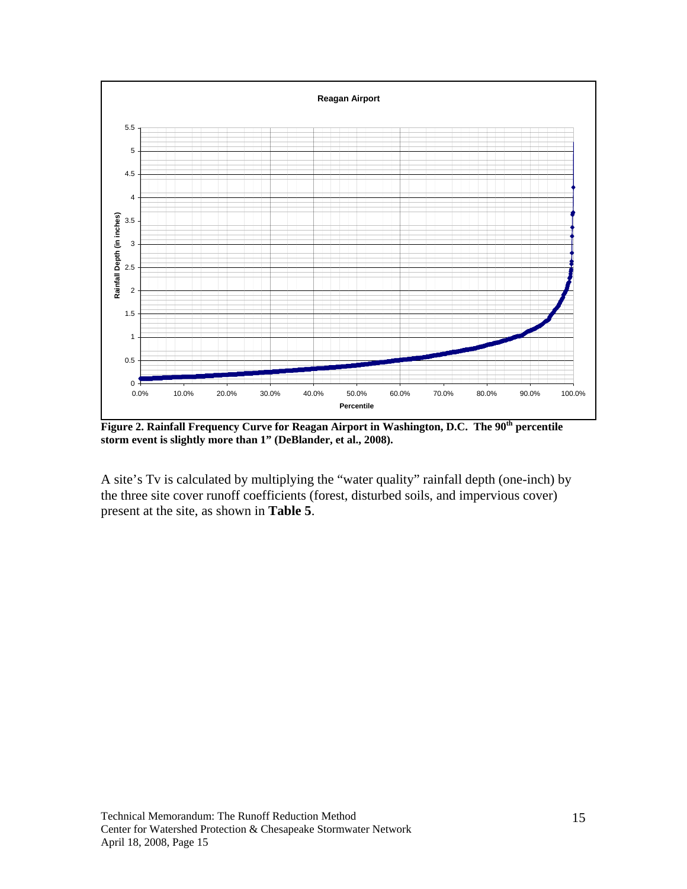

**Figure 2. Rainfall Frequency Curve for Reagan Airport in Washington, D.C. The 90th percentile storm event is slightly more than 1" (DeBlander, et al., 2008).** 

A site's Tv is calculated by multiplying the "water quality" rainfall depth (one-inch) by the three site cover runoff coefficients (forest, disturbed soils, and impervious cover) present at the site, as shown in **Table 5**.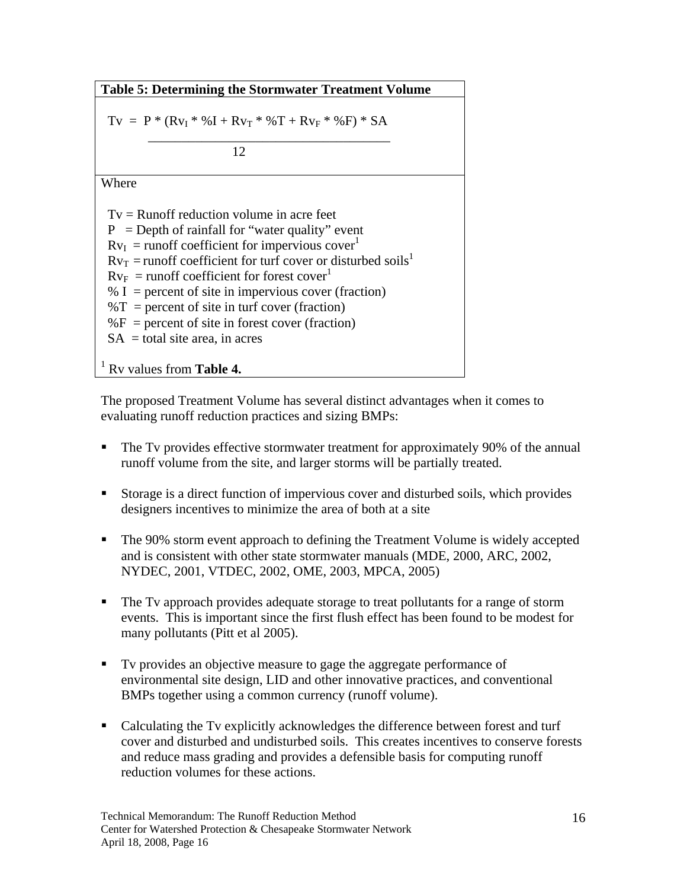**Table 5: Determining the Stormwater Treatment Volume**

$$
Tv = P * (Rv_I * \%I + Rv_T * \%T + Rv_F * \%F) * SA
$$

 $\overline{\phantom{a}}$  ,  $\overline{\phantom{a}}$  ,  $\overline{\phantom{a}}$  ,  $\overline{\phantom{a}}$  ,  $\overline{\phantom{a}}$  ,  $\overline{\phantom{a}}$  ,  $\overline{\phantom{a}}$  ,  $\overline{\phantom{a}}$  ,  $\overline{\phantom{a}}$  ,  $\overline{\phantom{a}}$  ,  $\overline{\phantom{a}}$  ,  $\overline{\phantom{a}}$  ,  $\overline{\phantom{a}}$  ,  $\overline{\phantom{a}}$  ,  $\overline{\phantom{a}}$  ,  $\overline{\phantom{a}}$ 12

Where

 $Tv =$  Runoff reduction volume in acre feet  $P =$  Depth of rainfall for "water quality" event  $Rv_I$  = runoff coefficient for impervious cover<sup>1</sup>  $Rv_T$  = runoff coefficient for turf cover or disturbed soils<sup>1</sup>  $Rv_F$  = runoff coefficient for forest cover<sup>1</sup>  $% I =$  percent of site in impervious cover (fraction)  $\%T$  = percent of site in turf cover (fraction)  $\%F$  = percent of site in forest cover (fraction)  $SA =$  total site area, in acres 1 Rv values from **Table 4.**

The proposed Treatment Volume has several distinct advantages when it comes to evaluating runoff reduction practices and sizing BMPs:

- The Tv provides effective stormwater treatment for approximately 90% of the annual runoff volume from the site, and larger storms will be partially treated.
- Storage is a direct function of impervious cover and disturbed soils, which provides designers incentives to minimize the area of both at a site
- The 90% storm event approach to defining the Treatment Volume is widely accepted and is consistent with other state stormwater manuals (MDE, 2000, ARC, 2002, NYDEC, 2001, VTDEC, 2002, OME, 2003, MPCA, 2005)
- The Tv approach provides adequate storage to treat pollutants for a range of storm events. This is important since the first flush effect has been found to be modest for many pollutants (Pitt et al 2005).
- Tv provides an objective measure to gage the aggregate performance of environmental site design, LID and other innovative practices, and conventional BMPs together using a common currency (runoff volume).
- Calculating the Tv explicitly acknowledges the difference between forest and turf cover and disturbed and undisturbed soils. This creates incentives to conserve forests and reduce mass grading and provides a defensible basis for computing runoff reduction volumes for these actions.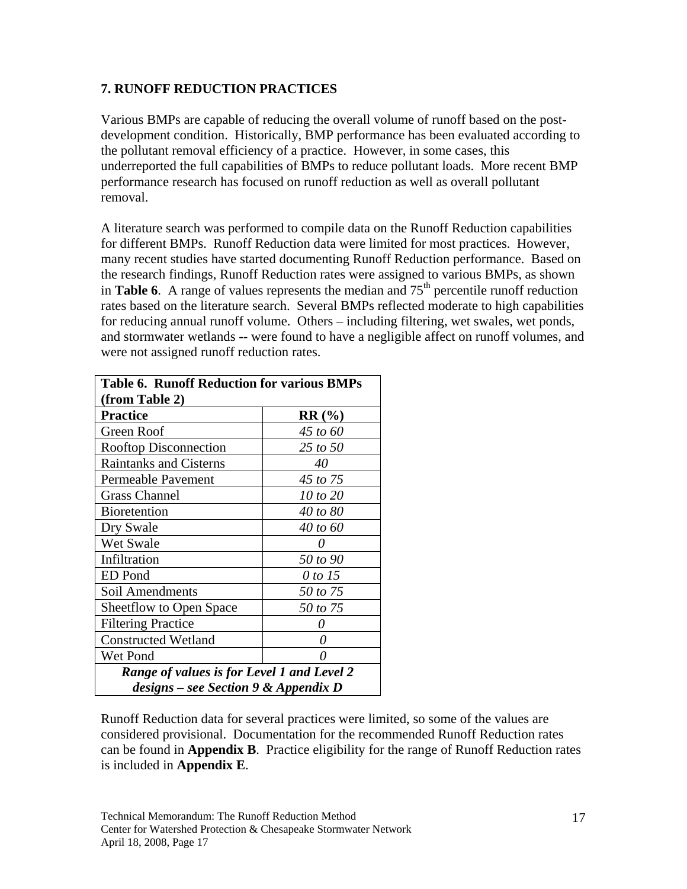### **7. RUNOFF REDUCTION PRACTICES**

Various BMPs are capable of reducing the overall volume of runoff based on the postdevelopment condition. Historically, BMP performance has been evaluated according to the pollutant removal efficiency of a practice. However, in some cases, this underreported the full capabilities of BMPs to reduce pollutant loads. More recent BMP performance research has focused on runoff reduction as well as overall pollutant removal.

A literature search was performed to compile data on the Runoff Reduction capabilities for different BMPs. Runoff Reduction data were limited for most practices. However, many recent studies have started documenting Runoff Reduction performance. Based on the research findings, Runoff Reduction rates were assigned to various BMPs, as shown in **Table 6**. A range of values represents the median and  $75<sup>th</sup>$  percentile runoff reduction rates based on the literature search. Several BMPs reflected moderate to high capabilities for reducing annual runoff volume. Others – including filtering, wet swales, wet ponds, and stormwater wetlands -- were found to have a negligible affect on runoff volumes, and were not assigned runoff reduction rates.

| <b>Table 6. Runoff Reduction for various BMPs</b> |          |  |  |
|---------------------------------------------------|----------|--|--|
| (from Table 2)                                    |          |  |  |
| <b>Practice</b>                                   | RR(%)    |  |  |
| Green Roof                                        | 45 to 60 |  |  |
| <b>Rooftop Disconnection</b>                      | 25 to 50 |  |  |
| <b>Raintanks and Cisterns</b>                     | 40       |  |  |
| Permeable Pavement                                | 45 to 75 |  |  |
| <b>Grass Channel</b>                              | 10 to 20 |  |  |
| <b>Bioretention</b>                               | 40 to 80 |  |  |
| Dry Swale                                         | 40 to 60 |  |  |
| Wet Swale                                         |          |  |  |
| Infiltration                                      | 50 to 90 |  |  |
| ED Pond                                           | 0 to 15  |  |  |
| Soil Amendments                                   | 50 to 75 |  |  |
| <b>Sheetflow to Open Space</b>                    | 50 to 75 |  |  |
| <b>Filtering Practice</b>                         |          |  |  |
| <b>Constructed Wetland</b>                        | O        |  |  |
| Wet Pond                                          |          |  |  |
| Range of values is for Level 1 and Level 2        |          |  |  |
| $designs - see Section 9 \& Appendix D$           |          |  |  |

Runoff Reduction data for several practices were limited, so some of the values are considered provisional. Documentation for the recommended Runoff Reduction rates can be found in **Appendix B**. Practice eligibility for the range of Runoff Reduction rates is included in **Appendix E**.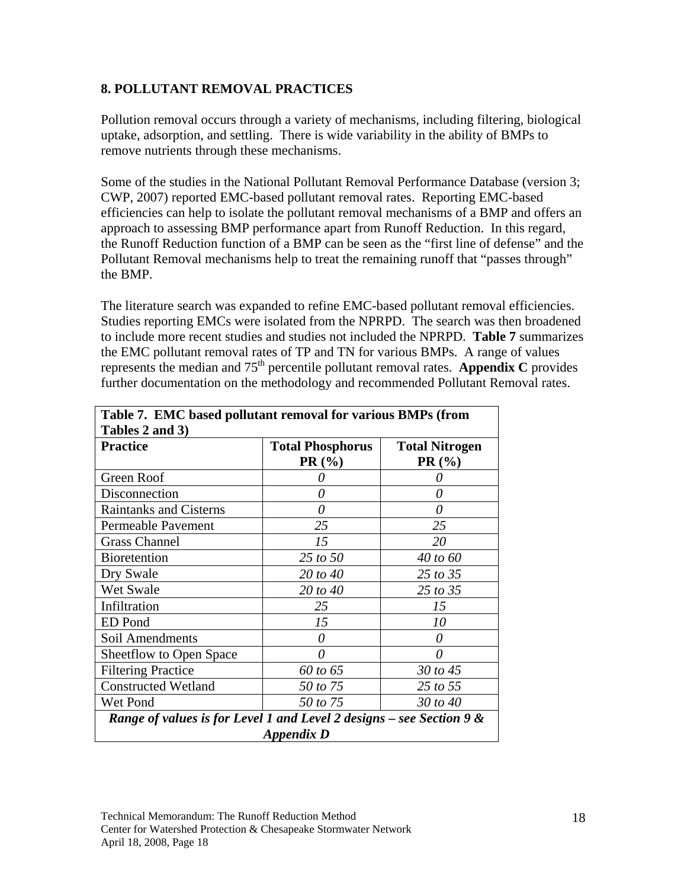#### **8. POLLUTANT REMOVAL PRACTICES**

Pollution removal occurs through a variety of mechanisms, including filtering, biological uptake, adsorption, and settling. There is wide variability in the ability of BMPs to remove nutrients through these mechanisms.

Some of the studies in the National Pollutant Removal Performance Database (version 3; CWP, 2007) reported EMC-based pollutant removal rates. Reporting EMC-based efficiencies can help to isolate the pollutant removal mechanisms of a BMP and offers an approach to assessing BMP performance apart from Runoff Reduction. In this regard, the Runoff Reduction function of a BMP can be seen as the "first line of defense" and the Pollutant Removal mechanisms help to treat the remaining runoff that "passes through" the BMP.

The literature search was expanded to refine EMC-based pollutant removal efficiencies. Studies reporting EMCs were isolated from the NPRPD. The search was then broadened to include more recent studies and studies not included the NPRPD. **Table 7** summarizes the EMC pollutant removal rates of TP and TN for various BMPs. A range of values represents the median and 75th percentile pollutant removal rates. **Appendix C** provides further documentation on the methodology and recommended Pollutant Removal rates.

| <b>Practice</b>                                                                    | <b>Total Phosphorus</b><br>PR(%) | <b>Total Nitrogen</b><br>$PR(\%)$ |
|------------------------------------------------------------------------------------|----------------------------------|-----------------------------------|
| Green Roof                                                                         |                                  |                                   |
| Disconnection                                                                      | 0                                |                                   |
| <b>Raintanks and Cisterns</b>                                                      | $\theta$                         | 0                                 |
| Permeable Pavement                                                                 | 25                               | 25                                |
| <b>Grass Channel</b>                                                               | 15                               | 20                                |
| <b>Bioretention</b>                                                                | 25 to 50                         | 40 to 60                          |
| Dry Swale                                                                          | 20 to 40                         | 25 to 35                          |
| Wet Swale                                                                          | 20 to 40                         | 25 to 35                          |
| Infiltration                                                                       | 25                               | 15                                |
| <b>ED</b> Pond                                                                     | 15                               | 10                                |
| Soil Amendments                                                                    | 0                                |                                   |
| Sheetflow to Open Space                                                            | 0                                | 0                                 |
| <b>Filtering Practice</b>                                                          | 60 to 65                         | 30 to 45                          |
| <b>Constructed Wetland</b>                                                         | 50 to 75                         | 25 to 55                          |
| Wet Pond                                                                           | 50 to 75                         | 30 to 40                          |
| Range of values is for Level 1 and Level 2 designs - see Section 9 &<br>Appendix D |                                  |                                   |

| Table 7. EMC based pollutant removal for various BMPs (from |
|-------------------------------------------------------------|
| $\vert$ Tables 2 and 3)                                     |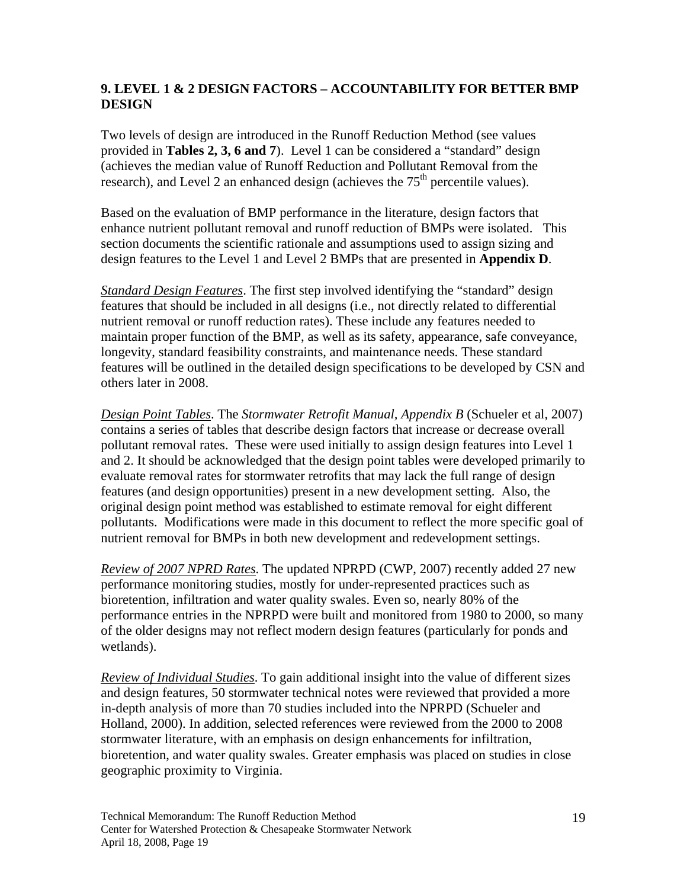### **9. LEVEL 1 & 2 DESIGN FACTORS – ACCOUNTABILITY FOR BETTER BMP DESIGN**

Two levels of design are introduced in the Runoff Reduction Method (see values provided in **Tables 2, 3, 6 and 7**). Level 1 can be considered a "standard" design (achieves the median value of Runoff Reduction and Pollutant Removal from the research), and Level 2 an enhanced design (achieves the  $75<sup>th</sup>$  percentile values).

Based on the evaluation of BMP performance in the literature, design factors that enhance nutrient pollutant removal and runoff reduction of BMPs were isolated. This section documents the scientific rationale and assumptions used to assign sizing and design features to the Level 1 and Level 2 BMPs that are presented in **Appendix D**.

*Standard Design Features*. The first step involved identifying the "standard" design features that should be included in all designs (i.e., not directly related to differential nutrient removal or runoff reduction rates). These include any features needed to maintain proper function of the BMP, as well as its safety, appearance, safe conveyance, longevity, standard feasibility constraints, and maintenance needs. These standard features will be outlined in the detailed design specifications to be developed by CSN and others later in 2008.

*Design Point Tables*. The *Stormwater Retrofit Manual, Appendix B* (Schueler et al, 2007) contains a series of tables that describe design factors that increase or decrease overall pollutant removal rates. These were used initially to assign design features into Level 1 and 2. It should be acknowledged that the design point tables were developed primarily to evaluate removal rates for stormwater retrofits that may lack the full range of design features (and design opportunities) present in a new development setting. Also, the original design point method was established to estimate removal for eight different pollutants. Modifications were made in this document to reflect the more specific goal of nutrient removal for BMPs in both new development and redevelopment settings.

*Review of 2007 NPRD Rates*. The updated NPRPD (CWP, 2007) recently added 27 new performance monitoring studies, mostly for under-represented practices such as bioretention, infiltration and water quality swales. Even so, nearly 80% of the performance entries in the NPRPD were built and monitored from 1980 to 2000, so many of the older designs may not reflect modern design features (particularly for ponds and wetlands).

*Review of Individual Studies*. To gain additional insight into the value of different sizes and design features, 50 stormwater technical notes were reviewed that provided a more in-depth analysis of more than 70 studies included into the NPRPD (Schueler and Holland, 2000). In addition, selected references were reviewed from the 2000 to 2008 stormwater literature, with an emphasis on design enhancements for infiltration, bioretention, and water quality swales. Greater emphasis was placed on studies in close geographic proximity to Virginia.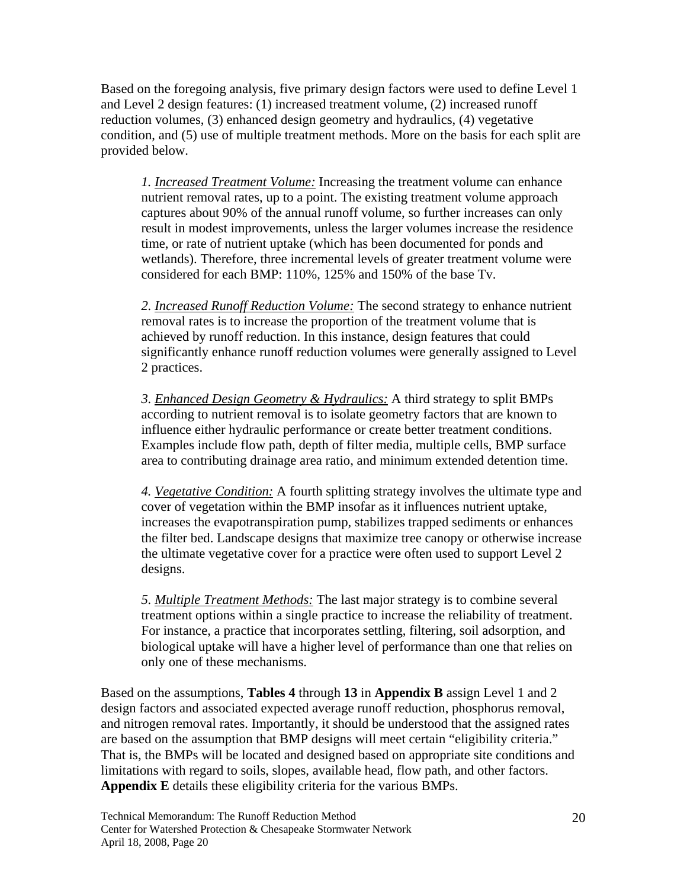Based on the foregoing analysis, five primary design factors were used to define Level 1 and Level 2 design features: (1) increased treatment volume, (2) increased runoff reduction volumes, (3) enhanced design geometry and hydraulics, (4) vegetative condition, and (5) use of multiple treatment methods. More on the basis for each split are provided below.

*1. Increased Treatment Volume:* Increasing the treatment volume can enhance nutrient removal rates, up to a point. The existing treatment volume approach captures about 90% of the annual runoff volume, so further increases can only result in modest improvements, unless the larger volumes increase the residence time, or rate of nutrient uptake (which has been documented for ponds and wetlands). Therefore, three incremental levels of greater treatment volume were considered for each BMP: 110%, 125% and 150% of the base Tv.

*2. Increased Runoff Reduction Volume:* The second strategy to enhance nutrient removal rates is to increase the proportion of the treatment volume that is achieved by runoff reduction. In this instance, design features that could significantly enhance runoff reduction volumes were generally assigned to Level 2 practices.

*3. Enhanced Design Geometry & Hydraulics:* A third strategy to split BMPs according to nutrient removal is to isolate geometry factors that are known to influence either hydraulic performance or create better treatment conditions. Examples include flow path, depth of filter media, multiple cells, BMP surface area to contributing drainage area ratio, and minimum extended detention time.

*4. Vegetative Condition:* A fourth splitting strategy involves the ultimate type and cover of vegetation within the BMP insofar as it influences nutrient uptake, increases the evapotranspiration pump, stabilizes trapped sediments or enhances the filter bed. Landscape designs that maximize tree canopy or otherwise increase the ultimate vegetative cover for a practice were often used to support Level 2 designs.

*5. Multiple Treatment Methods:* The last major strategy is to combine several treatment options within a single practice to increase the reliability of treatment. For instance, a practice that incorporates settling, filtering, soil adsorption, and biological uptake will have a higher level of performance than one that relies on only one of these mechanisms.

Based on the assumptions, **Tables 4** through **13** in **Appendix B** assign Level 1 and 2 design factors and associated expected average runoff reduction, phosphorus removal, and nitrogen removal rates. Importantly, it should be understood that the assigned rates are based on the assumption that BMP designs will meet certain "eligibility criteria." That is, the BMPs will be located and designed based on appropriate site conditions and limitations with regard to soils, slopes, available head, flow path, and other factors. **Appendix E** details these eligibility criteria for the various BMPs.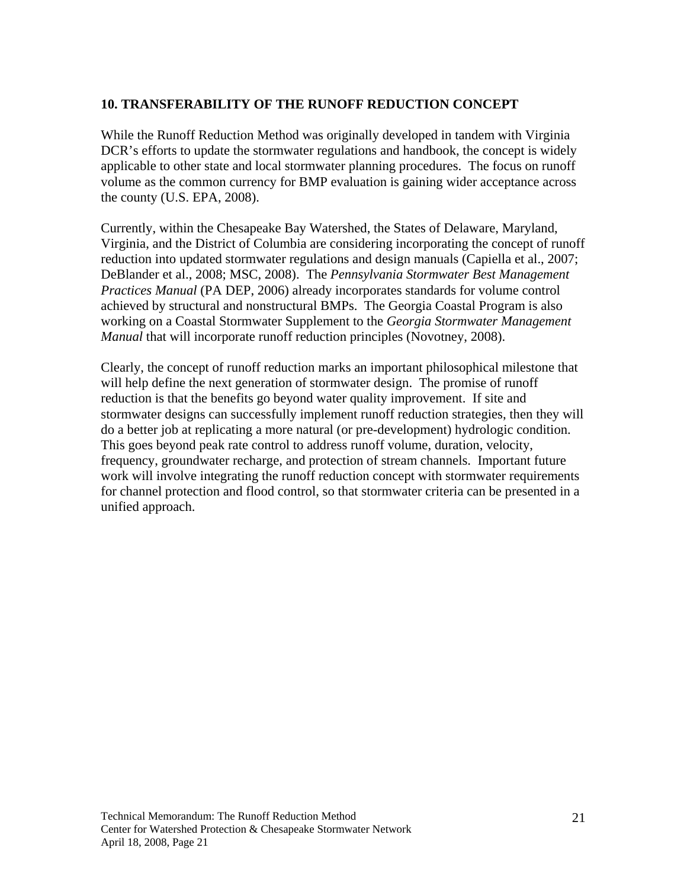#### **10. TRANSFERABILITY OF THE RUNOFF REDUCTION CONCEPT**

While the Runoff Reduction Method was originally developed in tandem with Virginia DCR's efforts to update the stormwater regulations and handbook, the concept is widely applicable to other state and local stormwater planning procedures. The focus on runoff volume as the common currency for BMP evaluation is gaining wider acceptance across the county (U.S. EPA, 2008).

Currently, within the Chesapeake Bay Watershed, the States of Delaware, Maryland, Virginia, and the District of Columbia are considering incorporating the concept of runoff reduction into updated stormwater regulations and design manuals (Capiella et al., 2007; DeBlander et al., 2008; MSC, 2008). The *Pennsylvania Stormwater Best Management Practices Manual* (PA DEP, 2006) already incorporates standards for volume control achieved by structural and nonstructural BMPs. The Georgia Coastal Program is also working on a Coastal Stormwater Supplement to the *Georgia Stormwater Management Manual* that will incorporate runoff reduction principles (Novotney, 2008).

Clearly, the concept of runoff reduction marks an important philosophical milestone that will help define the next generation of stormwater design. The promise of runoff reduction is that the benefits go beyond water quality improvement. If site and stormwater designs can successfully implement runoff reduction strategies, then they will do a better job at replicating a more natural (or pre-development) hydrologic condition. This goes beyond peak rate control to address runoff volume, duration, velocity, frequency, groundwater recharge, and protection of stream channels. Important future work will involve integrating the runoff reduction concept with stormwater requirements for channel protection and flood control, so that stormwater criteria can be presented in a unified approach.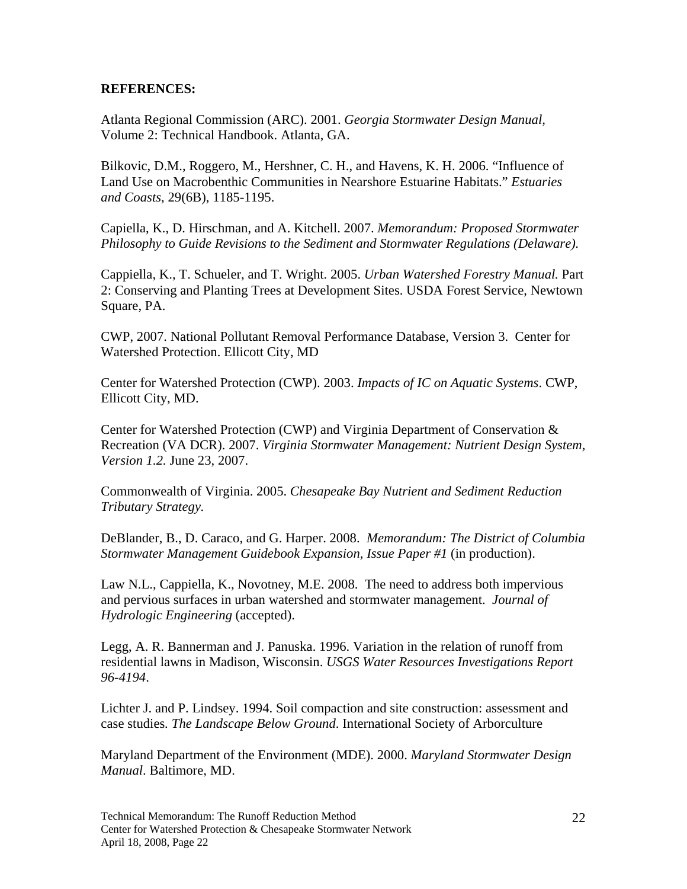#### **REFERENCES:**

Atlanta Regional Commission (ARC). 2001. *Georgia Stormwater Design Manual,*  Volume 2: Technical Handbook. Atlanta, GA.

Bilkovic, D.M., Roggero, M., Hershner, C. H., and Havens, K. H. 2006. "Influence of Land Use on Macrobenthic Communities in Nearshore Estuarine Habitats." *Estuaries and Coasts*, 29(6B), 1185-1195.

Capiella, K., D. Hirschman, and A. Kitchell. 2007. *Memorandum: Proposed Stormwater Philosophy to Guide Revisions to the Sediment and Stormwater Regulations (Delaware).* 

Cappiella, K., T. Schueler, and T. Wright. 2005. *Urban Watershed Forestry Manual.* Part 2: Conserving and Planting Trees at Development Sites. USDA Forest Service, Newtown Square, PA.

CWP, 2007. National Pollutant Removal Performance Database, Version 3. Center for Watershed Protection. Ellicott City, MD

Center for Watershed Protection (CWP). 2003. *Impacts of IC on Aquatic Systems*. CWP, Ellicott City, MD.

Center for Watershed Protection (CWP) and Virginia Department of Conservation & Recreation (VA DCR). 2007. *Virginia Stormwater Management: Nutrient Design System, Version 1.2.* June 23, 2007.

Commonwealth of Virginia. 2005. *Chesapeake Bay Nutrient and Sediment Reduction Tributary Strategy.*

DeBlander, B., D. Caraco, and G. Harper. 2008. *Memorandum: The District of Columbia Stormwater Management Guidebook Expansion, Issue Paper #1* (in production).

Law N.L., Cappiella, K., Novotney, M.E. 2008. The need to address both impervious and pervious surfaces in urban watershed and stormwater management. *Journal of Hydrologic Engineering* (accepted).

Legg, A. R. Bannerman and J. Panuska. 1996. Variation in the relation of runoff from residential lawns in Madison, Wisconsin. *USGS Water Resources Investigations Report 96-4194*.

Lichter J. and P. Lindsey. 1994. Soil compaction and site construction: assessment and case studies*. The Landscape Below Ground*. International Society of Arborculture

Maryland Department of the Environment (MDE). 2000. *Maryland Stormwater Design Manual*. Baltimore, MD.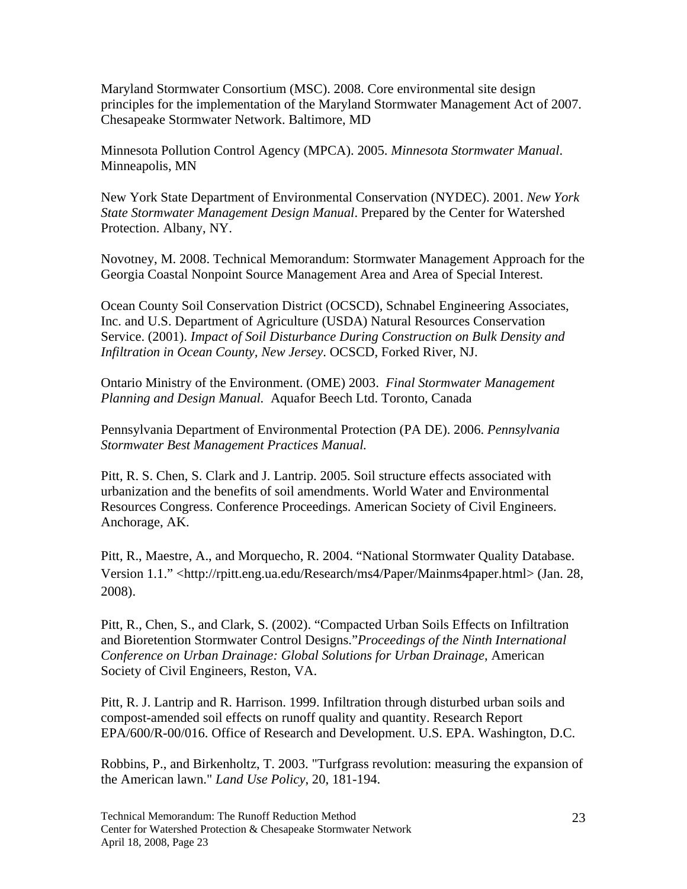Maryland Stormwater Consortium (MSC). 2008. Core environmental site design principles for the implementation of the Maryland Stormwater Management Act of 2007. Chesapeake Stormwater Network. Baltimore, MD

Minnesota Pollution Control Agency (MPCA). 2005. *Minnesota Stormwater Manual*. Minneapolis, MN

New York State Department of Environmental Conservation (NYDEC). 2001. *New York State Stormwater Management Design Manual*. Prepared by the Center for Watershed Protection. Albany, NY.

Novotney, M. 2008. Technical Memorandum: Stormwater Management Approach for the Georgia Coastal Nonpoint Source Management Area and Area of Special Interest.

Ocean County Soil Conservation District (OCSCD), Schnabel Engineering Associates, Inc. and U.S. Department of Agriculture (USDA) Natural Resources Conservation Service. (2001). *Impact of Soil Disturbance During Construction on Bulk Density and Infiltration in Ocean County, New Jersey*. OCSCD, Forked River, NJ.

Ontario Ministry of the Environment. (OME) 2003. *Final Stormwater Management Planning and Design Manual.* Aquafor Beech Ltd. Toronto, Canada

Pennsylvania Department of Environmental Protection (PA DE). 2006. *Pennsylvania Stormwater Best Management Practices Manual.* 

Pitt, R. S. Chen, S. Clark and J. Lantrip. 2005. Soil structure effects associated with urbanization and the benefits of soil amendments. World Water and Environmental Resources Congress. Conference Proceedings. American Society of Civil Engineers. Anchorage, AK.

Pitt, R., Maestre, A., and Morquecho, R. 2004. "National Stormwater Quality Database. Version 1.1." <http://rpitt.eng.ua.edu/Research/ms4/Paper/Mainms4paper.html> (Jan. 28, 2008).

Pitt, R., Chen, S., and Clark, S. (2002). "Compacted Urban Soils Effects on Infiltration and Bioretention Stormwater Control Designs."*Proceedings of the Ninth International Conference on Urban Drainage: Global Solutions for Urban Drainage*, American Society of Civil Engineers, Reston, VA.

Pitt, R. J. Lantrip and R. Harrison. 1999. Infiltration through disturbed urban soils and compost-amended soil effects on runoff quality and quantity. Research Report EPA/600/R-00/016. Office of Research and Development. U.S. EPA. Washington, D.C.

Robbins, P., and Birkenholtz, T. 2003. "Turfgrass revolution: measuring the expansion of the American lawn." *Land Use Policy*, 20, 181-194.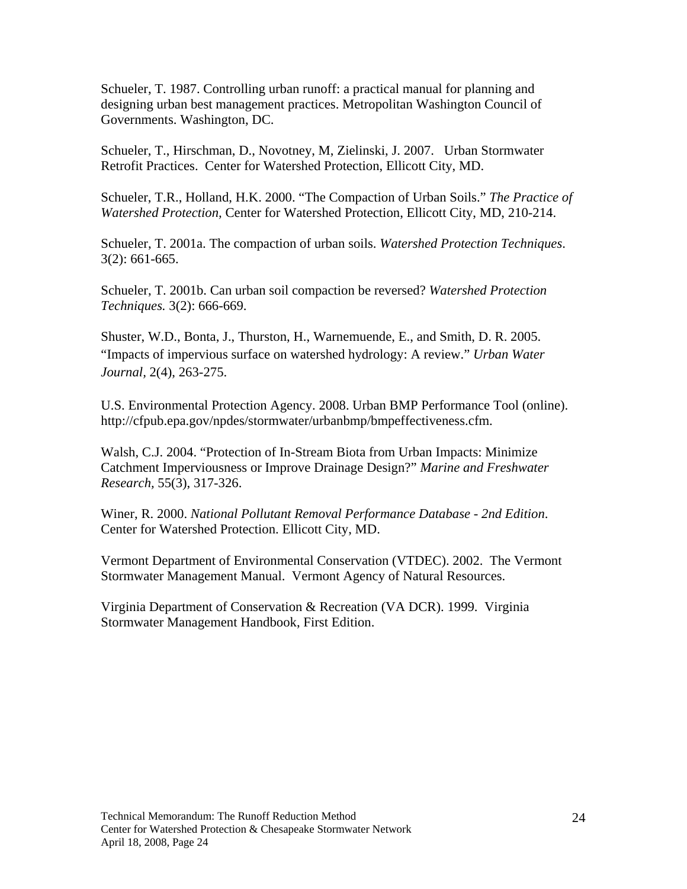Schueler, T. 1987. Controlling urban runoff: a practical manual for planning and designing urban best management practices. Metropolitan Washington Council of Governments. Washington, DC.

Schueler, T., Hirschman, D., Novotney, M, Zielinski, J. 2007. Urban Stormwater Retrofit Practices. Center for Watershed Protection, Ellicott City, MD.

Schueler, T.R., Holland, H.K. 2000. "The Compaction of Urban Soils." *The Practice of Watershed Protection,* Center for Watershed Protection, Ellicott City, MD, 210-214.

Schueler, T. 2001a. The compaction of urban soils. *Watershed Protection Techniques*. 3(2): 661-665.

Schueler, T. 2001b. Can urban soil compaction be reversed? *Watershed Protection Techniques.* 3(2): 666-669.

Shuster, W.D., Bonta, J., Thurston, H., Warnemuende, E., and Smith, D. R. 2005. "Impacts of impervious surface on watershed hydrology: A review." *Urban Water Journal,* 2(4), 263-275.

U.S. Environmental Protection Agency. 2008. Urban BMP Performance Tool (online). http://cfpub.epa.gov/npdes/stormwater/urbanbmp/bmpeffectiveness.cfm.

Walsh, C.J. 2004. "Protection of In-Stream Biota from Urban Impacts: Minimize Catchment Imperviousness or Improve Drainage Design?" *Marine and Freshwater Research,* 55(3), 317-326.

Winer, R. 2000. *National Pollutant Removal Performance Database - 2nd Edition*. Center for Watershed Protection. Ellicott City, MD.

Vermont Department of Environmental Conservation (VTDEC). 2002. The Vermont Stormwater Management Manual. Vermont Agency of Natural Resources.

Virginia Department of Conservation & Recreation (VA DCR). 1999. Virginia Stormwater Management Handbook, First Edition.